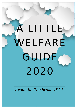# A LITTLE WELFARE GUIDE 2020

*From the Pembroke JPC!*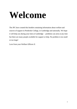# **Welcome**

The JPC have created this booklet containing information about welfare and sources of support in Pembroke College, in Cambridge and nationally. We hope it will help you during your time at Cambridge— problems can arise at any time but there are many people available for support or help. No problem is too small or too large!

Love from your Welfare Officers X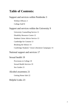# **Table of Contents:**

#### Support and services within Pembroke 3

Welfare Officers 3 College Staff 8

#### Support and services within the University 9

University Counselling Service 11 Disability Resource Centre 12 Students Union Advice Service 13 Cambridge for Consent 13 Breaking the Silence 14 Cambridge Students' Union Liberation Campaigns 14

#### National support and services 17

#### Sexual health 19

Provisions in College 19 Sexual Health Services 19 Sex Guides 21

#### Alcohol awareness 21

Getting Home Safe 22

#### Helpful Links 23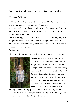# **Support and Services within Pembroke**

### **Welfare Officers:**

Hi! We are the welfare officers within Pembroke's JPC who are here to have a chat about any concerns you have, free of judgement.

Our emails are listed here but we are also happy to be contacted via Facebook messenger! We also hold events, socials and drop-ins throughout the year (with an abundance of free food!)

Sexual health supplies, including condoms, lube, dental dams, pregnancy tests and personal alarms, can be found in the welfare pigeonhole. Please let Stephanie Jat, Victoria Moreland, Tilly Harrison, or Caleb Woodall know if you notice supplies running low.

Welfare love xo

Please note: elections are held throughout the year so these faces may change!



**Steph - Welfare Officer** scj45@cam.ac.uk Hi I'm Steph, your welfare officer! I'm here to signpost help for you, whatever your concern. Being at Cambridge can feel a bit overwhelming at times, particularly as you make the adjustment between school and uni. I'm here to make sure that any issues are resolved as quickly as possible - feel free to message me about any concerns! And keep an eye out for welfare events which run throughout term, including Zumba, film nights,

massages, alternative study spaces and picnics! These will be posted on Pembroke Welfare's Facebook page and occasionally emailed. Once again, feel free to message me about anything – nothing's to small!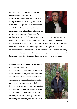**Caleb - Men's and Non- Binary Welfare Officer** jp-mens@pem.cam.ac.uk Hi! I'm Caleb, Pembroke's Men's and Non-Binary Welfare Officer. It's my job to offer support for and represent the interests of any and all Pembroke students who identify as male or non-binary. In addition to helping you all settle in as a student at Pembroke, I'm



available as a port of call for any welfare-related issues you may have at any time of the year. If you're ever feeling down, need any direction towards welfare services or simply fancy a chat, you can speak to me in person, by email or Facebook, or leave a note in my pigeon hole (where you'll also find a smorgasbord of sexual health supplies and contraceptives!). I hope to encourage an environment of openness and discussion with regard to men's issues and will be running events throughout term that focus on this so watch this space!

#### **Maya - Ethnic Minorities (BME) Officer** jpethmin@pem.cam.ac.uk

Hello! My name is Maya and I am Pembroke's BME officer for undergraduate students. My role is to advocate for the welfare and needs of ethnic minority students in college, ensuring that they always experience an inclusive learning and living environment. As part of the welfare team, I look out for the mental health and wellbeing of BME students, providing a listening ear, as well as running events like movie nights to bring together the Pembroke

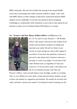BME community. My role also includes the running of the annual BAME access day to encourage more ethnic minority students to apply. I also work with BME officers at other colleges to help foster connections between BME students across Cambridge. If you have any questions about navigating Cambridge as a traditionally white institution, or just want to chat, please do not hesitate to contact me on Facebook (Maya McFarlane) or via email.

**Vic - Women's and Non- Binary Welfare Officer** vm388@cam.ac.uk



Hi, I'm Vic and I'm your Women's + NB Welfare officer! This means I advocate for the welfare of all women and non-binary members of college and represent your needs. My job is to listen to any worries or issues facing you, and to offer support if you need it. If you have any questions, concerns or just need a chat, please don't hesitate to drop me a message or a note in my pidge. I'm also part of the wider Welfare team, so regardless of what your concern is, I'll do my best to help. I also help to run the Jo Cox Feminist Society with Tilly, the

Women's Officer. I also run Safe Spaces every fortnight, usually on a Sunday. They're very chilled out events where women and non-binary students can get to know one another in a supportive environment. We usually do activities and crafts, and there's always free snacks! I'm looking forward to meeting you all!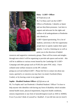

#### **Daisy - LGBT+ Officer**

dc752@cam.ac.uk

Hi, I'm Daisy and I am the LGBT+ Officer at Pembroke. I identify as Queer and use they/them pronouns. I am here to support and advocate for the rights and welfare of all undergraduates at Pembroke who identify as

LGBT+/Queer/questioning. For a lot of students, university is the first opportunity people have to openly explore their queer identity. I can be a listening ear as well as point you in the direction of helpful

resources and supportive community groups. There will be events and mingles through term which I will be organising to provide safe spaces and socials – this will be in addition to various events hosted by the Cambridge SU LGBT+ Campaign and other groups such as FUSE (for queer POC only). I have collated some welfare resources on the JPC website:

pemjp.soc.srcf.net/welfare/LGBT+. Please feel free to contact me about any issues, queries(!), or concerns you may have via email, Facebook (Daisy Corder), or by leaving a note in my pigeon hole.

#### **Sophie - Disabled Students Officer** sij22@cam.ac.uk

Hi, I'm Sophie and I am Pembroke's Disabled Students' Officer! I'm here to help anyone who identifies with having any form of disability which includes mental health issues, physical impairments, long-term health conditions, sensory impairments or any form of neurodivergence (such as ASD or ADHD). Even if you don't think of yourself as 'disabled', if you fall into one (or more!)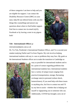of these categories I am here to help and you are eligible for support. I can contact the Disability Resource Centre (DRC) or your tutor, help fill out referral forms with you (for things like counselling) and answer any questions about where to find further support. Feel free to contact me via email (sij22), Facebook or by leaving a note in my pigeon hole!



#### **Tele - Internationals Officer** jp-

international@pem.cam.ac.uk

Hi, I'm Tele, Pembroke's International Students Officer, and I'm a second-year student studying NatSci and I'm from Nigeria. My role involves helping international students with any is- sues or problems they may face. My goals as the International Students officer are to make the transition to Cambridge as



easy as possible for international students and to be a point of contact regarding problems that international students face. International students face a variety of unique issues ranging from practical (transportation, storage, fluctuating exchange rates) to personal (culture shock, homesickness). If you need help with these issues or anything else, feel free to contact me and I'll try my best to assist - whether that is helping out myself or signposting you to someone who can. Additionally, COVID has brought a new set of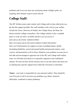problems and if you ever have any uncertainty about College's policy on anything, don't hesitate to get in touch with me.

# **College Staff:**

The JPC Welfare team works closely with College staff so that collectively you get the best support possible. Key staff members with a role in your welfare include the Tutors, Directors of Studies, the College Nurse, the Dean, the Porters and the College Counsellors. The College website is also a valuable place to work out what's available and how you can access it: pem.cam.ac.uk/current- students/welfare/

http://www.pem.cam.ac.uk/current-students/ student-documents/ Here you'll find pointers for support on topics including finance, health (including disabilities, sexual and mental health) and personal matters, work worries, and harassment in all its forms. Whatever your problem we want you to feel able and encouraged to approach one of the JPC and College staff welfare team; we will listen and advise in a respectful, supportive and confidential manner. We may not have all the answers, but we can also advise and assist you in seeking more specific support from within the University or elsewhere.

**Tutors** – your tutor is responsible for your personal welfare. They should be your first port of call if you have any problems (e.g. illness, financial difficulties, workload or family problems).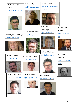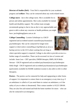**Director of Studies (DoS)** - Your DoS is responsible for your academic progress and **welfare**. They can be contacted about any work-related issues.

**College nurse** - Jan is the college nurse. She is available for inperson and online appointments. She is also available for mental health and disability support. The welfare team strongly recommends going to chat to Jan as she is very approachable and great to talk to about any concerns or health problems you might have. jan.brighting@pem.cam.ac.uk

**College Counselling** - Loraine Gelsthorpe is a UKCP registered and accredited trained counsellor/psychoanalytic psychotherapist. She can be contacted for longer-term support or short-notice counselling at lrg10@cam.ac.uk as a backup service to the UCS where waiting lists are long or

where specialist support is required. College is also able to provide access to a further range of counsellors. These can be accessed via Jan or Loraine and include: Anna Lees - CBT specialist, EMDR therapist, RMN, RGN Bella Stewart - UKCP registered and accredited psychoanalytical psychotherapist Ishtla Singh - UKCP registered and accredited psychoanalytical psychotherapist (particularly available for BAME students) Loraine is also able to refer to other therapists.

**Porters** - The porters can be contacted for help and signposting to other forms of support. It is important to contact them in an emergency at any time (e.g. if an ambulance is called or if you need them to contact an ambulance, or if the safety of you or others is threatened). Their contact number is 01223 338100. They are also first aid trained and hold the home numbers for tutors – who can also be contacted in an emergency.



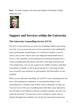**Dean** – Dr James Gardom is the Dean and Chaplain of Pembroke College jtdg@cam.ac.uk



# **Support and Services within the University**

#### **The University Counselling Service (UCS):**

The UCS is a free university-run service for Cambridge students open during term time. You can access this service if you want/need to talk confidentially with a professionally trained listener. It is common for students to use the service, and you don't need to have a pre-diagnosed mental health issue to access it. The counsellors are all experienced in working with people from a variety of backgrounds and cultures, and with a wide range of personal and work-related issues. You can also request to see a BME counsellor. Individual counselling is available, as well as group sessions on a wide range of topics (you can specify your preference for participation). Self-help leaflets are also available.

Before you are allocated counselling, you will fill in a pre-counselling form and have a short preliminary consultation. If you need help filling in a precounselling form, a member of the Welfare Team in Pembroke can help you. You don't have to fill in pre-counselling form (other than contact details) but this will make it more difficult to allocate a suitable counsellor, and your case cannot be prioritized. You may have to join a waiting list, which varies in duration throughout the academic year, but this has improved in recent years.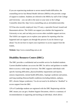If you are experiencing moderate to severe mental health difficulties, the counselling service has Mental Health Advisors (MHAs) who provide a range of support to students. Students are referred to the MHAs by staff of the College and University – you can talk to the nurse or your tutor or the College Counsellor about this. http://www.counselling.cam.ac.uk/studentcouns/mha

UCS has also recently employed Amy O'Leary, a specialist Sexual Assault and Harassment advisor. The SAHA can support you whether this happened at University or not, and can help you to access other available support services. The SAHA can support you to explore your options for reporting what has happened and can support you through this process if you do choose to go ahead. You do not have to report your experience to access support from the SAHA.

**Website**: http://www.counselling.cam.ac.uk/

#### **Disability Resource Centre (DRC):**

The DRC provides a confidential and accessible service for disabled students. Current disabled students can access the DRC for advice and guidance to enable them to access a wide range of services. The DRC supports individuals with specific learning difficulties, physical/mobility impairments and injuries, sensory impairments, mental health difficulties, Asperger syndrome and autism, and long-standing illnesses/health conditions (including diabetes, epilepsy, HIV, chronic fatigue syndrome). You do not need to be defined as "disabled" to access support from the DRC.

12% of Cambridge students are registered with the DRC Registering with the DRC means you can get a Student Support Document, which is a summary of recommendations in supporting and teaching an individual, which allows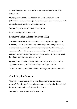Reasonable Adjustments to be made to meet your needs under the 2010 Equality Act.

Opening Hours: Monday to Thursday 9am - 5pm, Friday 9am - 4pm (Alternative times can be arranged if necessary). During coronavirus, the DRC are holding phone and Skype appointments only.

**Website**: http://www.disability.admin.cam.ac.uk/

**Email**: disability@admin.cam.ac.uk

#### **Student's Union Advice Service (SUAS):**

The advice service offers free, confidential, and independent support to all Cambridge University students. They will be happy to talk to you about any issue or concern you may have as a student, big or small. They can discuss concerns, explore options, represent you at college or University level if necessary and can signpost you to a more suited support service if they can't help. http://www.studentadvice.cam.ac.uk/

Opening hours: Monday to Friday, 9.00 am - 5.00 pm. During coronavirus, appointments are only available over the phone, Skype, or Zoom.

To book an appointment: 01223 746999 / advice@studentadvice.cam.ac.uk

#### **Cambridge for Consent:**

"University wide campaign aimed at celebrating and promoting sexual consent." There is lots of information, support, and contacts for those affected by sexual assault and those looking to help friends.

**Website**: http://www.cambridgeforconsent.com/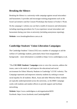#### **Breaking the Silence:**

Breaking the Silence is a university-wide campaign against sexual misconduct and harassment. It provides and encourages training programmes such as the Good Lad initiative and the Consent Workshops that feature in Fresher's Week.

On the campaign's website you can find a wealth of resources and information including reporting procedures for if you experience sexual misconduct and harassment during your time at university (including anonymous reporting).

**Website**: www.breakingthesilence.cam.ac.uk

#### **Cambridge Students' Union Liberation Campaigns:**

The Cambridge Students' Union (CSU) run a number of campaigns to aid the welfare of Cambridge students, particularly those from marginalised backgrounds – more information is available at https://www.cambridgesu.co.uk.

"The **CSU BME Students' Campaign** exists to voice the concerns, address the issues, cater to the needs of, and improve the educational and social environment for Ethnic Minority Students in Cambridge" (CUSU website). The Campaign represents and empowers minority students by seeking to ensure racial equality for all students. Black, Asian and other Minority Ethnic students are typically underrepresented across the university, so the BME Campaign works with students and student officers to provide support and facilitate networking.

**Website**: https://www.cambridgesu.co.uk/organisation/6035/ Facebook: https://www.facebook.com/CambridgeBME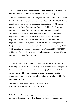This is a non-exhaustive **list of Facebook groups and pages** you can join/like to keep up to date with the events and forums they are offering!

ABACUS - https://www.facebook.com/groups/253359128033814/ CU African-Caribbean Society—https://www.facebook.com/groups/101021409944681/ CU Arab Society—https://www.facebook.com/CUArabSociety/ CU Buddhist Society—https://www.facebook.com/CambridgeBuddhist CU Ghanaian Society—https://www.facebook.com/groups/7579322460/ CU Kurdish Society— https://www.facebook.com/CUKurdSoc CU India Society https://www.facebook.com/groups/2203091656/ CU Islamic Society https://www.facebook.com/groups/2202289995/ CU Jewish Society https://www.facebook.com/groups/159259014163275/ CU Malaysian and Singapore Association—https:// www.facebook.com/groups/ CambridgeMSA/ CU Nigeria Society—https://www.facebook.com/groups/284626101571067/ CU Pakistan Society—https://www.facebook.com/groups/cupaksoc/ CU Sikh Society—https://www.facebook.com/cusikhsoc

"iCUSU is the umbrella body for all international societies and students in Cambridge University" (CUSU website). The core purposes are looking out for the well-being of international students, providing a platform for students to connect, and provides access for under-privileged groups abroad. The Campaign works very closely with colleges to improve benefits provided for international students.

**Website**: http://www.international.cusu.cam.ac.uk/about/ **Facebook**: https://www.facebook.com/iCUSU?fref=ts

"The **Women's Campaign** supports and represents all women and non-binary students at Cambridge. We work to eliminate all forms of oppression and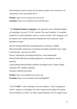discrimination faced by women and non-binary people in the University at an institutional, social, and cultural level."

**Website**: https://www.womens.cusu.cam.ac.uk/ **Facebook**: https://www.facebook.com/CUSUWomen/

"The **Disabled Students Campaign** is the organised voice of disabled students in Cambridge University" (CUSU website). The word 'disability' is incredibly loaded but in reality disabilities come in a variety of forms. The Campaign is for all students who consider themselves disabled and wish to take part. Some disabilities include:

Specific learning difficulties (including dyslexia, dyspraxia, ADHD) Physical/mobility impairments and injuries (including wheelchair users, Upper Limb Disorder - also known as RSI) Sensory impairments (including hearing loss, visual impairment) Mental health difficulties (including depression, schizophrenia, anxiety disorder) Long-standing illnesses/health conditions (including cancer, chronic fatigue syndrome, HIV, diabetes, epilepsy) Asperger syndrome and autism **Website**: http://www.disabled.cusu.cam.ac.uk/

"CUSU **LGBT**+ is the Cambridge University Students' Union Campaign for LGBT+ students at Cambridge. We seek to represent and support all students who self-identify as LGBT+ (or other, similar identities). We run regular social

**Facebook**: https://www.facebook.com/CambridgeDSC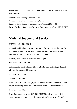events ranging from a club nights to coffee meet-ups. We also arrange talks and speaker events."

**Website**: http://www.lgbt.cusu.cam.ac.uk/ **Facebook**: https://www.facebook.com/lgbtcusu/ Facebook Group: https://www.facebook.com/groups/2202197406 Private Facebook Group: https://www.facebook.com/groups/SecretCUSULGBT

## **National Support and Services**

HOPELine UK - 0800 068 41 41

A confidential helpline for young people under the age of 35 and their friends and family. The helpline is staffed by trained professionals who give nonjudgemental support, practical advice and information.

Mon-Fri, 10am - 10pm, & weekends, 2pm - 10pm

Samaritans - 08457 90 90 90

A Confidential emotional support for people who are experiencing feelings of distress, despair or suicidal thoughts

Any time, day or night

Sane - 0300 304 7000

Mental health helpline offering specialist emotional support and information to anyone affected by mental health difficulties, including family and friends.

Every day, 6pm - 11pm

Beat - Beat Youthline (under 25s): 0345 634 7650 Adult helpline: 0345 634 1414 www.b-eat.co.uk An eating disorder charity, which gives confidential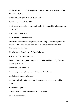advice and support for both people who have and are concerned about others with eating issues.

Mon-Wed, 1pm-4pm Thurs-Fri, 10am-1pm

Get Connected - 0808 808 4994

Confidential helpline for young people under 25 who need help, but don't know where to turn.

Every day, 11am - 11pm

Mind Infoline - 0300 123 3393

Provides information on a range of topics including: understanding different mental health difficulties, where to get help, medication and alternative treatments, and advocacy.

Mon-Fri, 9am - 6pm, (except for bank holidays)

CALM Helpline - 0800 58 58 58

For confidential, anonymous support, information and signposting for men anywhere in the UK.

Every day, 5pm - midnight,

Nightline (previously known as Linkline) - 01223 744444

email@cambridge.nightline.ac.uk

An independent listening, support and information service run by and for students.

CU full term, 7pm-7am

Talk to Frank - SMS: 82111 Phone: 0300 123 6600

www.talktofrank.com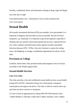Friendly, confidential advice and information relating to drugs, legal and illegal. Any time, day or night

Cruse Bereavement Care - Somewhere to turn to when someone dies www.cruse.org.uk

# **Sexual Health**

All sexually transmitted infections (STIs) are treatable, if not preventable. It is important to diagnose and treat them as soon as possible. Not all STIs have symptoms, e.g. chlamydia. It is important to get tested regularly, especially if sleeping with new partners and having unprotected sex (incl. unprotected oral sex). Only condoms and dental dams protect against sexually transmitted infections/diseases (STIs / STDs). Also don't hesitate to contact the college nurse, Jan Brighting, to arrange a confidential appointment for advice on this topic.

#### **Provisions in College**

Condoms, dental dams, lube, personal alarms and pregnancy tests are always accessible in the Welfare pigeon holes.

#### **Sexual Health Services**

#### **Lime Tree Clinic**

The clinic provides a free and confidential sexual health services; sexual health testing STIs and HIV, chlamydia testing, free contraception, emergency contraception and support and advice. The clinic is both for routine check-ups and when you have concerns or symptoms.

It's best to book an appointment by calling 0300 300 3030 (between 9am-7.20pm Monday to Thursday, Friday 9am-3.30pm, Saturday 11am-1.20pm)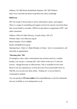Address: 351 Mill Road, Brookfields Hospital, CB1 3DF Website: http://www.icash.nhs.uk/where-to-go/lime-tree-clinic-cambridge

#### **DHIVerse**

HIV test results in 60 seconds as well as information, advice, and support. There is a range of counselling and support services for anyone concerned about their sexual health or sexuality. DHIVerse specialises in supporting LGBT+ and ethnic minorities.

Address: Office B, Dales Brewery, Gwydir Street, CB1 2LJ Website: http://www.dhiverse.org.uk/ Phone Number: 01223 508805 Email: info@dhiverse.org.uk Opening hours: 10am to 5.30pm Monday to Friday - but it is recommend to call and make an appointment.

#### **'Morning after' Pill**

In emergency cases, where contraception has not been used (or a condom breaks), you can get a 'morning after' pill, which works up to 72 after the activity - though decreases in effectiveness. This is available for free from Boots if you see a pharmacist, or from the Lime Tree sexual health clinic on Mill Rd; you can also buy them online. 'Pulling out' is not an effective contraceptive method.

You can purchase **STI tests online** from myhealthbeauty.co.uk Free chlamydia tests are available at www.dontpassiton.co.uk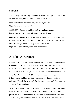#### **Sex Guides**

All of these guides are really helpful for everybody having sex – they are not LGBT+ exclusive, though some info is LGBT+ specific.

**#sexwithoutshame** guides on anal, oral and vaginal sex. https://lgbt.foundation/sexguides

**CSU LGBT+ Campaign guide on safe sex and protection**: https://www.lgbt.cusu.cam.ac.uk/resources/sexual-health/

**Good sex is...** a series of guides about sex and relationships for women who have sex with women, trans people and men who have sex with men. They include lots of great info on sex, pleasure, and consent. https://www.lgbtyouth.org.uk/resources/?topic=sex

# **Alcohol Awareness**

Not everyone drinks. According to a recent alcohol survey, around a third of Cambridge students don't drink, or rarely drink. If you do drink, it's not advisable to drink more than 14 units of alcohol in a week. One unit of alcohol  $= 1/3$  of pint of beer,  $1/2$  a glass of wine. A whole bottle of wine contains 10 units of alcohol, which is a lot! For more information on units, see Drinkaware.co.uk. Many people try alcohol for the first time whilst at university. If this is the case, don't feel the need to 'catch up'. Take it easy and slowly work out your limits.

To reduce the effects of alcohol dehydration (a hangover), hydrate yourselves: water, coconut water, rehydration salts – not coffee. Remember, alcohol is a poison that your liver must remove: drinking a lot often damages your liver. You need to give it time to recover, else you could cause long-term damage.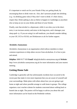It's important to watch out for your friends if they are getting drunk, by encouraging them to drink water etc. Also, don't pressure people into drinking (e.g. via drinking game rules) if they don't want to drink: it's their choice, respect that. Drink spiking is also as likely to happen in Cambridge as anywhere else so keep an eye on your drinks and those of your friends.

Finally, note that alcohol is a depressant; while it can relax you in the shortterm, it can increase anxiety and stress in the long-term, and it damages your sleep quali- ty. If you are using it to self-medicate, you should consider talking to your GP, UCS or SUAS; see Drinkaware.co.uk for further support.

#### **Alcoholics Anonymous**

Alcoholics Anonymous is an organisation which allows members to share common experiences to help others recover from alcoholism. It is free to join and attend.

**Helpline**: 0800 9177 650 **Email**: help@alcoholics-anonymous.org.uk **Website**: http://www.alcoholics-anonymous.org.uk for more information and your nearest meeting.

#### **Getting Home Safe**

Cambridge is generally safe but unfortunately incidents have occurred in the recent past that make it even more important that you are aware of yourself and your surroundings. Make plans with others about how you are going to get home at night and where possible arrange to walk home in groups. The college organises a taxi voucher scheme for students concerned about walking back to hostels late at night. The porters will be happy to advise you about this and more information can be found on the Pembroke website.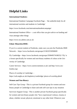# **Helpful Links**

#### **International Students:**

International Students Campaign Facebook Page— 'the umbrella body for all international societies and students in Cambridge'

https://www.facebook.com/internationalstudentcampaign/

International Students Office— a uni office that can give advice on funding and visas amongst other things

https://www.iso.admin.cam.ac.uk

#### **Ethnic Minorities/BME:**

If you're a current student at Pembroke, make sure you join the Pembroke BME Network— https://www.facebook.com/groups/213632555858609/

Fly Cambridge—https://www.facebook.com/groups/359049374186552/ 'Fly' is a forum specifically for women and non-binary students of colour at the University of Cambridge.

Career Services—https://www.rarerecruitment.co.uk/ and http://www.seolondon.org/

Places of worship in Cambridge—

https://web.anglia.ac.uk/chaplaincy/cambridge/ places-of-worship.phtml

#### **Women and Non-Binary:**

Self-Care Tips Group - This is a private Facebook group for women and nonbinary people in Cambridge to share and seek self-care tips in any situation

Survivors Support Group - This is another private Facebook group specifically for women and non-binary people who "have experienced violence, trauma or abuse, whether sexual, physical, emotional or any other kind. Whatever your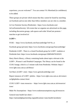experience, you are welcome!". You can contact Vic Moreland (in confidence) to be added.

These groups are private which means that they cannot be found by searching on Facebook and no-one other than fellow members can see who is a member.

Jo Cox Feminist Society (Pembroke) - https://www.facebook.com/ JoCoxFeministSociety/ All events that we organise are advertised on this page, including discussion groups, safe-spaces and wider WomCam protests / marches to get involved in!

#### **LGBT+:**

FUSE— https://www.facebook.com/fusecambridge/?ref=br\_rs

Facebook group (private): https://www.facebook.com/groups/fusecambridge/

Pembroke LGBT - There is a closed Facebook group for LGBT+ students at Pembroke here: https://www.facebook.com/groups/1068540476520325/

Harry Harris library, a library containing books about topics relevant to the LGBT+, Women's and Disabled Campaigns. The library can be found in the CUSU lounge, which is a 5 minute walk from Pembroke. Website: https:// www.lgbt.cusu.cam.ac.uk/library/

Get Real. (LGBT+ zine) - https://www.getrealcambridge.com/

Report instances of LGBT+ phobia—https://www.lgbt.cusu.cam.ac.uk/contactus/lgbtphobia-contact-form/

CUSU LGBT+ trans resources— https://www.lgbt.cusu.cam.ac.uk/resources/ trans/

Make No Assumptions—https://www.makenoassumptions.org.uk/resources

General trans health fact-sheet—

https://nationallgbtpartnership.org/publications/ trans-health-factsheets/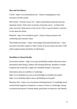#### **Men and Non-Binary:**

CALM - https://www.thecalmzone.net—Charity campaigning to raise awareness of male suicide

Men United—Prostate Cancer UK—https://menunited.prostatecanceruk.org important charity which raises awareness of prostate cancer - an illness that many men don't think about or look out for. This is a good website to read lots of info about the illness

Mankind—http://www.mankind.org.uk - charity raising awareness and combatting male domestic abuse

The Bristlecone Project—https://1in6.org/get-information/bristlecone/ - raises awareness and offers support to Male victims of sexual assault and abuse. With online support groups and plenty of information.

#### **Disabilities & Mental Health:**

Government website—https://www.gov.uk/disabled-students-allowances-dsas Information about being a student with learning difficulty, disability or health condition and would like to apply for a Disabled Student's Allowance.

Information about accessibility in Cambridge—

https://www.disabled.cusu.cam.ac.uk/cambridge-accessibility-dsc-guide/ https://www.disability.admin.cam.ac.uk/building-access-guide

Blueprint Zine—https://www.facebook.com/blueprintzine/ A Cambridge-based mental health magazine, founded by a woman of colour at Cambridge, aiming to promote discussions of mental health, particularly its intersects with identity.